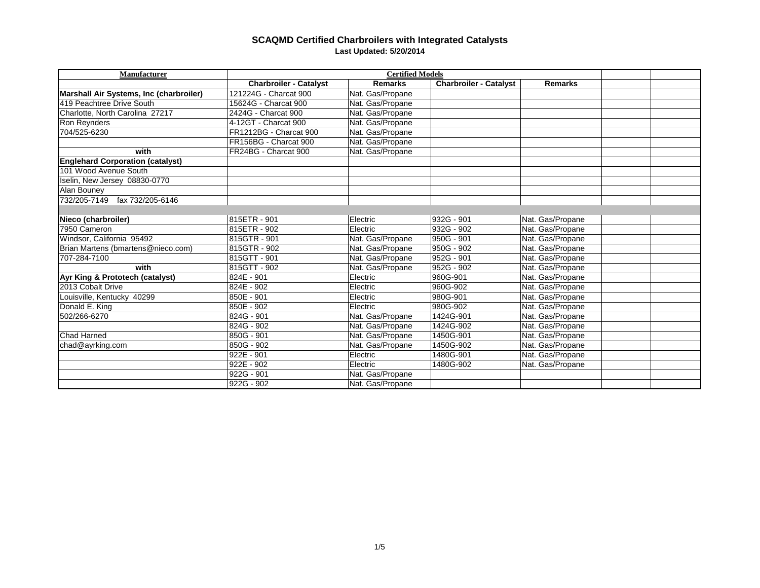| Manufacturer                            | <b>Certified Models</b>       |                  |                               |                  |  |  |
|-----------------------------------------|-------------------------------|------------------|-------------------------------|------------------|--|--|
|                                         | <b>Charbroiler - Catalyst</b> | <b>Remarks</b>   | <b>Charbroiler - Catalyst</b> | <b>Remarks</b>   |  |  |
| Marshall Air Systems, Inc (charbroiler) | 121224G - Charcat 900         | Nat. Gas/Propane |                               |                  |  |  |
| 419 Peachtree Drive South               | 15624G - Charcat 900          | Nat. Gas/Propane |                               |                  |  |  |
| Charlotte, North Carolina 27217         | 2424G - Charcat 900           | Nat. Gas/Propane |                               |                  |  |  |
| Ron Reynders                            | 4-12GT - Charcat 900          | Nat. Gas/Propane |                               |                  |  |  |
| 704/525-6230                            | FR1212BG - Charcat 900        | Nat. Gas/Propane |                               |                  |  |  |
|                                         | FR156BG - Charcat 900         | Nat. Gas/Propane |                               |                  |  |  |
| with                                    | FR24BG - Charcat 900          | Nat. Gas/Propane |                               |                  |  |  |
| <b>Englehard Corporation (catalyst)</b> |                               |                  |                               |                  |  |  |
| 101 Wood Avenue South                   |                               |                  |                               |                  |  |  |
| Iselin, New Jersey 08830-0770           |                               |                  |                               |                  |  |  |
| Alan Bouney                             |                               |                  |                               |                  |  |  |
| fax 732/205-6146<br>732/205-7149        |                               |                  |                               |                  |  |  |
|                                         |                               |                  |                               |                  |  |  |
| Nieco (charbroiler)                     | 815ETR - 901                  | Electric         | 932G - 901                    | Nat. Gas/Propane |  |  |
| 7950 Cameron                            | 815ETR - 902                  | Electric         | 932G - 902                    | Nat. Gas/Propane |  |  |
| Windsor, California 95492               | 815GTR - 901                  | Nat. Gas/Propane | $950G - 901$                  | Nat. Gas/Propane |  |  |
| Brian Martens (bmartens@nieco.com)      | 815GTR - 902                  | Nat. Gas/Propane | 950G - 902                    | Nat. Gas/Propane |  |  |
| 707-284-7100                            | 815GTT - 901                  | Nat. Gas/Propane | 952G - 901                    | Nat. Gas/Propane |  |  |
| with                                    | 815GTT - 902                  | Nat. Gas/Propane | $952G - 902$                  | Nat. Gas/Propane |  |  |
| Ayr King & Prototech (catalyst)         | 824E - 901                    | Electric         | 960G-901                      | Nat. Gas/Propane |  |  |
| 2013 Cobalt Drive                       | $824E - 902$                  | Electric         | 960G-902                      | Nat. Gas/Propane |  |  |
| Louisville, Kentucky 40299              | 850E - 901                    | Electric         | 980G-901                      | Nat. Gas/Propane |  |  |
| Donald E. King                          | 850E - 902                    | Electric         | 980G-902                      | Nat. Gas/Propane |  |  |
| 502/266-6270                            | 824G - 901                    | Nat. Gas/Propane | 1424G-901                     | Nat. Gas/Propane |  |  |
|                                         | 824G - 902                    | Nat. Gas/Propane | 1424G-902                     | Nat. Gas/Propane |  |  |
| <b>Chad Harned</b>                      | 850G - 901                    | Nat. Gas/Propane | 1450G-901                     | Nat. Gas/Propane |  |  |
| chad@ayrking.com                        | 850G - 902                    | Nat. Gas/Propane | 1450G-902                     | Nat. Gas/Propane |  |  |
|                                         | 922E - 901                    | Electric         | 1480G-901                     | Nat. Gas/Propane |  |  |
|                                         | 922E - 902                    | Electric         | 1480G-902                     | Nat. Gas/Propane |  |  |
|                                         | 922G - 901                    | Nat. Gas/Propane |                               |                  |  |  |
|                                         | 922G - 902                    | Nat. Gas/Propane |                               |                  |  |  |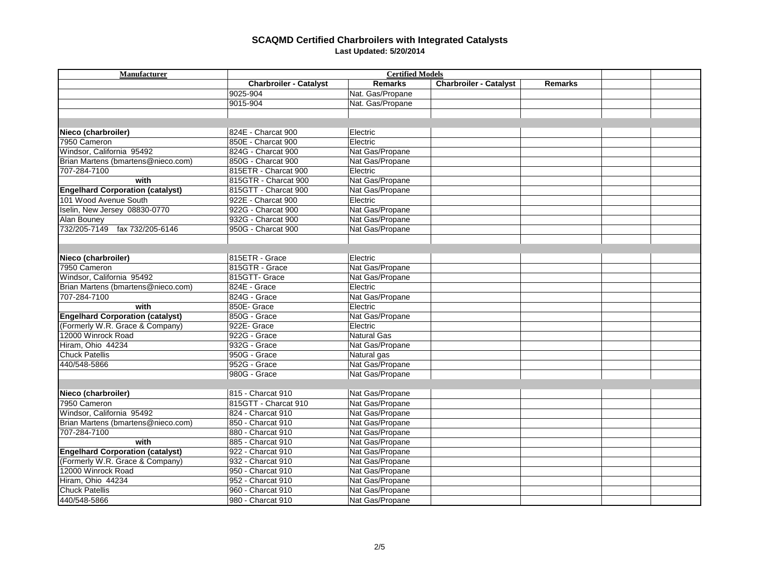| Manufacturer                            | <b>Certified Models</b> |                  |                               |                |  |  |
|-----------------------------------------|-------------------------|------------------|-------------------------------|----------------|--|--|
|                                         | Charbroiler - Catalyst  | <b>Remarks</b>   | <b>Charbroiler - Catalyst</b> | <b>Remarks</b> |  |  |
|                                         | 9025-904                | Nat. Gas/Propane |                               |                |  |  |
|                                         | 9015-904                | Nat. Gas/Propane |                               |                |  |  |
|                                         |                         |                  |                               |                |  |  |
|                                         |                         |                  |                               |                |  |  |
| Nieco (charbroiler)                     | 824E - Charcat 900      | Electric         |                               |                |  |  |
| 7950 Cameron                            | 850E - Charcat 900      | Electric         |                               |                |  |  |
| Windsor, California 95492               | 824G - Charcat 900      | Nat Gas/Propane  |                               |                |  |  |
| Brian Martens (bmartens@nieco.com)      | 850G - Charcat 900      | Nat Gas/Propane  |                               |                |  |  |
| 707-284-7100                            | 815ETR - Charcat 900    | Electric         |                               |                |  |  |
| with                                    | 815GTR - Charcat 900    | Nat Gas/Propane  |                               |                |  |  |
| <b>Engelhard Corporation (catalyst)</b> | 815GTT - Charcat 900    | Nat Gas/Propane  |                               |                |  |  |
| 101 Wood Avenue South                   | 922E - Charcat 900      | Electric         |                               |                |  |  |
| Iselin, New Jersey 08830-0770           | 922G - Charcat 900      | Nat Gas/Propane  |                               |                |  |  |
| Alan Bouney                             | 932G - Charcat 900      | Nat Gas/Propane  |                               |                |  |  |
| 732/205-7149 fax 732/205-6146           | 950G - Charcat 900      | Nat Gas/Propane  |                               |                |  |  |
|                                         |                         |                  |                               |                |  |  |
|                                         |                         |                  |                               |                |  |  |
| Nieco (charbroiler)                     | 815ETR - Grace          | Electric         |                               |                |  |  |
| 7950 Cameron                            | 815GTR - Grace          | Nat Gas/Propane  |                               |                |  |  |
| Windsor, California 95492               | 815GTT- Grace           | Nat Gas/Propane  |                               |                |  |  |
| Brian Martens (bmartens@nieco.com)      | 824E - Grace            | Electric         |                               |                |  |  |
| 707-284-7100                            | 824G - Grace            | Nat Gas/Propane  |                               |                |  |  |
| with                                    | 850E- Grace             | Electric         |                               |                |  |  |
| <b>Engelhard Corporation (catalyst)</b> | 850G - Grace            | Nat Gas/Propane  |                               |                |  |  |
| (Formerly W.R. Grace & Company)         | 922E- Grace             | Electric         |                               |                |  |  |
| 12000 Winrock Road                      | 922G - Grace            | Natural Gas      |                               |                |  |  |
| Hiram, Ohio 44234                       | 932G - Grace            | Nat Gas/Propane  |                               |                |  |  |
| <b>Chuck Patellis</b>                   | 950G - Grace            | Natural gas      |                               |                |  |  |
| 440/548-5866                            | 952G - Grace            | Nat Gas/Propane  |                               |                |  |  |
|                                         | 980G - Grace            | Nat Gas/Propane  |                               |                |  |  |
|                                         |                         |                  |                               |                |  |  |
| Nieco (charbroiler)                     | 815 - Charcat 910       | Nat Gas/Propane  |                               |                |  |  |
| 7950 Cameron                            | 815GTT - Charcat 910    | Nat Gas/Propane  |                               |                |  |  |
| Windsor, California 95492               | 824 - Charcat 910       | Nat Gas/Propane  |                               |                |  |  |
| Brian Martens (bmartens@nieco.com)      | 850 - Charcat 910       | Nat Gas/Propane  |                               |                |  |  |
| 707-284-7100                            | 880 - Charcat 910       | Nat Gas/Propane  |                               |                |  |  |
| with                                    | 885 - Charcat 910       | Nat Gas/Propane  |                               |                |  |  |
| <b>Engelhard Corporation (catalyst)</b> | 922 - Charcat 910       | Nat Gas/Propane  |                               |                |  |  |
| (Formerly W.R. Grace & Company)         | 932 - Charcat 910       | Nat Gas/Propane  |                               |                |  |  |
| 12000 Winrock Road                      | 950 - Charcat 910       | Nat Gas/Propane  |                               |                |  |  |
| Hiram, Ohio 44234                       | 952 - Charcat 910       | Nat Gas/Propane  |                               |                |  |  |
| <b>Chuck Patellis</b>                   | 960 - Charcat 910       | Nat Gas/Propane  |                               |                |  |  |
| 440/548-5866                            | 980 - Charcat 910       | Nat Gas/Propane  |                               |                |  |  |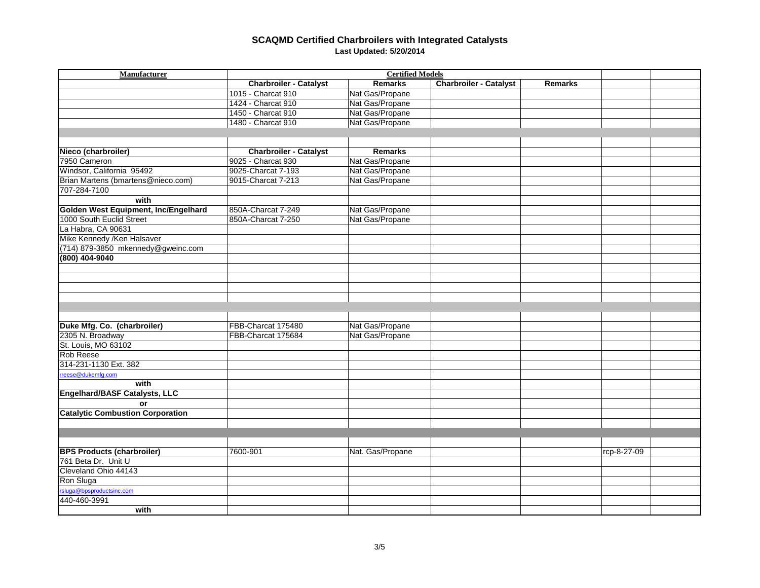| Manufacturer                            | <b>Certified Models</b>       |                  |                               |                |  |  |
|-----------------------------------------|-------------------------------|------------------|-------------------------------|----------------|--|--|
|                                         | <b>Charbroiler - Catalyst</b> | <b>Remarks</b>   | <b>Charbroiler - Catalyst</b> | <b>Remarks</b> |  |  |
|                                         | 1015 - Charcat 910            | Nat Gas/Propane  |                               |                |  |  |
|                                         | 1424 - Charcat 910            | Nat Gas/Propane  |                               |                |  |  |
|                                         | 1450 - Charcat 910            | Nat Gas/Propane  |                               |                |  |  |
|                                         | 1480 - Charcat 910            | Nat Gas/Propane  |                               |                |  |  |
|                                         |                               |                  |                               |                |  |  |
|                                         |                               |                  |                               |                |  |  |
| Nieco (charbroiler)                     | <b>Charbroiler - Catalyst</b> | <b>Remarks</b>   |                               |                |  |  |
| 7950 Cameron                            | 9025 - Charcat 930            | Nat Gas/Propane  |                               |                |  |  |
| Windsor, California 95492               | 9025-Charcat 7-193            | Nat Gas/Propane  |                               |                |  |  |
| Brian Martens (bmartens@nieco.com)      | 9015-Charcat 7-213            | Nat Gas/Propane  |                               |                |  |  |
| 707-284-7100                            |                               |                  |                               |                |  |  |
| with                                    |                               |                  |                               |                |  |  |
| Golden West Equipment, Inc/Engelhard    | 850A-Charcat 7-249            | Nat Gas/Propane  |                               |                |  |  |
| 1000 South Euclid Street                | 850A-Charcat 7-250            | Nat Gas/Propane  |                               |                |  |  |
| La Habra, CA 90631                      |                               |                  |                               |                |  |  |
| Mike Kennedy / Ken Halsaver             |                               |                  |                               |                |  |  |
| (714) 879-3850 mkennedy@gweinc.com      |                               |                  |                               |                |  |  |
| (800) 404-9040                          |                               |                  |                               |                |  |  |
|                                         |                               |                  |                               |                |  |  |
|                                         |                               |                  |                               |                |  |  |
|                                         |                               |                  |                               |                |  |  |
|                                         |                               |                  |                               |                |  |  |
|                                         |                               |                  |                               |                |  |  |
|                                         |                               |                  |                               |                |  |  |
| Duke Mfg. Co. (charbroiler)             | FBB-Charcat 175480            | Nat Gas/Propane  |                               |                |  |  |
| 2305 N. Broadway                        | FBB-Charcat 175684            | Nat Gas/Propane  |                               |                |  |  |
| St. Louis, MO 63102                     |                               |                  |                               |                |  |  |
| Rob Reese                               |                               |                  |                               |                |  |  |
| 314-231-1130 Ext. 382                   |                               |                  |                               |                |  |  |
| rreese@dukemfg.com                      |                               |                  |                               |                |  |  |
| with                                    |                               |                  |                               |                |  |  |
| <b>Engelhard/BASF Catalysts, LLC</b>    |                               |                  |                               |                |  |  |
| or                                      |                               |                  |                               |                |  |  |
| <b>Catalytic Combustion Corporation</b> |                               |                  |                               |                |  |  |
|                                         |                               |                  |                               |                |  |  |
|                                         |                               |                  |                               |                |  |  |
|                                         |                               |                  |                               |                |  |  |
| <b>BPS Products (charbroiler)</b>       | 7600-901                      | Nat. Gas/Propane |                               | rcp-8-27-09    |  |  |
| 761 Beta Dr. Unit U                     |                               |                  |                               |                |  |  |
| Cleveland Ohio 44143                    |                               |                  |                               |                |  |  |
| Ron Sluga                               |                               |                  |                               |                |  |  |
| rsluga@bpsproductsinc.com               |                               |                  |                               |                |  |  |
| 440-460-3991                            |                               |                  |                               |                |  |  |
| with                                    |                               |                  |                               |                |  |  |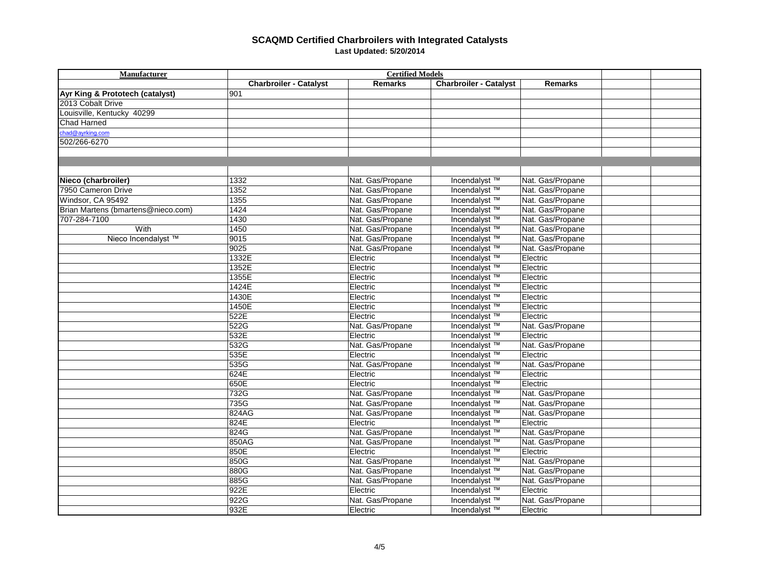| <b>Manufacturer</b>                | <b>Certified Models</b>       |                  |                               |                  |  |  |
|------------------------------------|-------------------------------|------------------|-------------------------------|------------------|--|--|
|                                    | <b>Charbroiler - Catalyst</b> | <b>Remarks</b>   | <b>Charbroiler - Catalyst</b> | <b>Remarks</b>   |  |  |
| Ayr King & Prototech (catalyst)    | 901                           |                  |                               |                  |  |  |
| 2013 Cobalt Drive                  |                               |                  |                               |                  |  |  |
| Louisville, Kentucky 40299         |                               |                  |                               |                  |  |  |
| <b>Chad Harned</b>                 |                               |                  |                               |                  |  |  |
| chad@avrking.com                   |                               |                  |                               |                  |  |  |
| 502/266-6270                       |                               |                  |                               |                  |  |  |
|                                    |                               |                  |                               |                  |  |  |
|                                    |                               |                  |                               |                  |  |  |
|                                    |                               |                  |                               |                  |  |  |
| Nieco (charbroiler)                | 1332                          | Nat. Gas/Propane | Incendalyst <sup>™</sup>      | Nat. Gas/Propane |  |  |
| 7950 Cameron Drive                 | 1352                          | Nat. Gas/Propane | Incendalyst ™                 | Nat. Gas/Propane |  |  |
| Windsor, CA 95492                  | 1355                          | Nat. Gas/Propane | Incendalyst <sup>™</sup>      | Nat. Gas/Propane |  |  |
| Brian Martens (bmartens@nieco.com) | 1424                          | Nat. Gas/Propane | Incendalyst ™                 | Nat. Gas/Propane |  |  |
| 707-284-7100                       | 1430                          | Nat. Gas/Propane | Incendalyst <sup>™</sup>      | Nat. Gas/Propane |  |  |
| With                               | 1450                          | Nat. Gas/Propane | Incendalyst <sup>™</sup>      | Nat. Gas/Propane |  |  |
| Nieco Incendalyst ™                | 9015                          | Nat. Gas/Propane | Incendalyst ™                 | Nat. Gas/Propane |  |  |
|                                    | 9025                          | Nat. Gas/Propane | Incendalyst ™                 | Nat. Gas/Propane |  |  |
|                                    | 1332E                         | Electric         | Incendalyst ™                 | Electric         |  |  |
|                                    | 1352E                         | Electric         | Incendalyst ™                 | Electric         |  |  |
|                                    | 1355E                         | Electric         | Incendalyst ™                 | Electric         |  |  |
|                                    | 1424E                         | Electric         | Incendalyst ™                 | Electric         |  |  |
|                                    | 1430E                         | Electric         | Incendalyst <sup>™</sup>      | Electric         |  |  |
|                                    | 1450E                         | Electric         | Incendalyst ™                 | Electric         |  |  |
|                                    | 522E                          | Electric         | Incendalyst ™                 | Electric         |  |  |
|                                    | 522G                          | Nat. Gas/Propane | Incendalyst <sup>™</sup>      | Nat. Gas/Propane |  |  |
|                                    | 532E                          | Electric         | Incendalyst <sup>™</sup>      | Electric         |  |  |
|                                    | 532G                          | Nat. Gas/Propane | Incendalyst <sup>™</sup>      | Nat. Gas/Propane |  |  |
|                                    | 535E                          | Electric         | Incendalyst ™                 | Electric         |  |  |
|                                    | 535G                          | Nat. Gas/Propane | Incendalyst ™                 | Nat. Gas/Propane |  |  |
|                                    | 624E                          | Electric         | Incendalyst ™                 | Electric         |  |  |
|                                    | 650E                          | Electric         | Incendalyst <sup>™</sup>      | Electric         |  |  |
|                                    | 732G                          | Nat. Gas/Propane | Incendalyst ™                 | Nat. Gas/Propane |  |  |
|                                    | 735G                          | Nat. Gas/Propane | Incendalyst <sup>™</sup>      | Nat. Gas/Propane |  |  |
|                                    | 824AG                         | Nat. Gas/Propane | Incendalyst <sup>™</sup>      | Nat. Gas/Propane |  |  |
|                                    | 824E                          | Electric         | Incendalyst ™                 | Electric         |  |  |
|                                    | 824G                          | Nat. Gas/Propane | Incendalyst ™                 | Nat. Gas/Propane |  |  |
|                                    | 850AG                         | Nat. Gas/Propane | Incendalyst <sup>™</sup>      | Nat. Gas/Propane |  |  |
|                                    | 850E                          | Electric         | Incendalyst <sup>™</sup>      | Electric         |  |  |
|                                    | 850G                          | Nat. Gas/Propane | Incendalyst ™                 | Nat. Gas/Propane |  |  |
|                                    | 880G                          | Nat. Gas/Propane | Incendalyst ™                 | Nat. Gas/Propane |  |  |
|                                    | 885G                          | Nat. Gas/Propane | Incendalyst ™                 | Nat. Gas/Propane |  |  |
|                                    | 922E                          | Electric         | Incendalyst <sup>™</sup>      | Electric         |  |  |
|                                    | 922G                          | Nat. Gas/Propane | Incendalyst <sup>™</sup>      | Nat. Gas/Propane |  |  |
|                                    | 932E                          | Electric         | Incendalyst <sup>™</sup>      | Electric         |  |  |